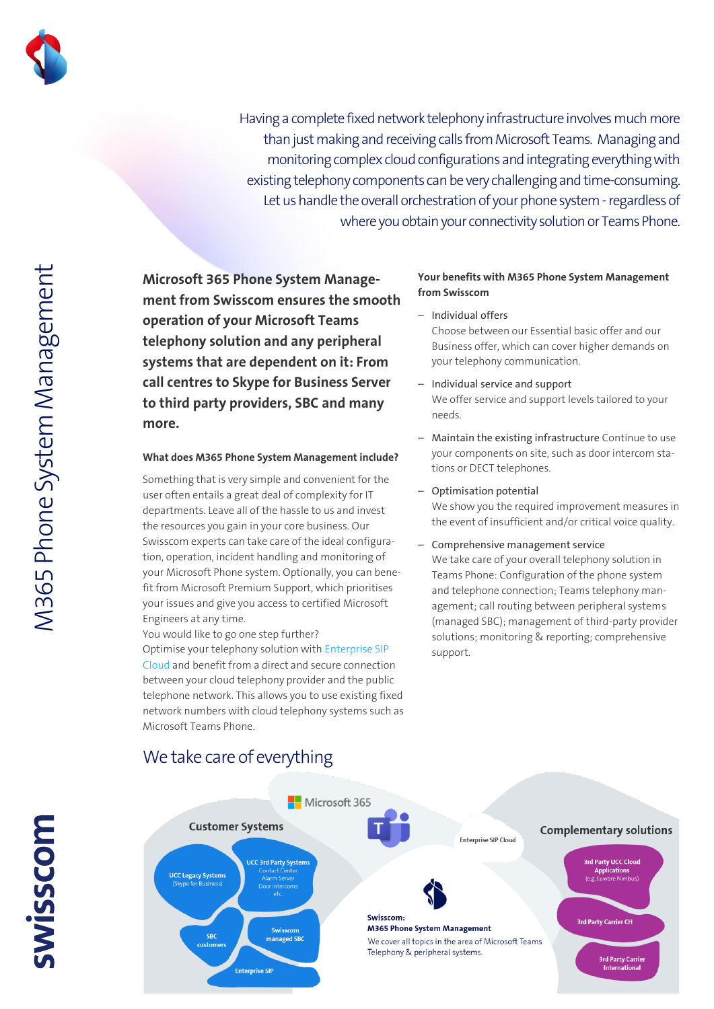

Having a complete fixed network telephony infrastructure involves much more than just making and receiving calls from Microsoft Teams. Managing and monitoring complex cloud configurations and integrating everything with existing telephony components can be very challenging and time-consuming. Let us handle the overall orchestration of your phone system - regardless of where you obtain your connectivity solution or Teams Phone.

**Microsoft 365 Phone System Management from Swisscom ensures the smooth operation of your Microsoft Teams telephony solution and any peripheral systems that are dependent on it: From call centres to Skype for Business Server to third party providers, SBC and many more.**

## **What does M365 Phone System Management include?**

Something that is very simple and convenient for the user often entails a great deal of complexity for IT departments. Leave all of the hassle to us and invest the resources you gain in your core business. Our Swisscom experts can take care of the ideal configuration, operation, incident handling and monitoring of your Microsoft Phone system. Optionally, you can benefit from Microsoft Premium Support, which prioritises your issues and give you access to certified Microsoft Engineers at any time.

You would like to go one step further? Optimise your telephony solution with [Enterprise SIP](https://documents.swisscom.com/product/filestore/lib/a695c473-243c-4cdb-8fb6-6fb1a199fc34/enterprise_sip_cloud_factsheet-en.pdf?idxme=pex-search)  [Cloud](https://documents.swisscom.com/product/filestore/lib/a695c473-243c-4cdb-8fb6-6fb1a199fc34/enterprise_sip_cloud_factsheet-en.pdf?idxme=pex-search) and benefit from a direct and secure connection between your cloud telephony provider and the public telephone network. This allows you to use existing fixed network numbers with cloud telephony systems such as Microsoft Teams Phone.

## We take care of everything

## **Your benefits with M365 Phone System Management from Swisscom**

- Individual offers Choose between our Essential basic offer and our Business offer, which can cover higher demands on your telephony communication.
- Individual service and support We offer service and support levels tailored to your needs.
- Maintain the existing infrastructure Continue to use your components on site, such as door intercom stations or DECT telephones.
- Optimisation potential We show you the required improvement measures in the event of insufficient and/or critical voice quality.
- Comprehensive management service We take care of your overall telephony solution in Teams Phone: Configuration of the phone system and telephone connection; Teams telephony management; call routing between peripheral systems (managed SBC); management of third-party provider solutions; monitoring & reporting; comprehensive support.